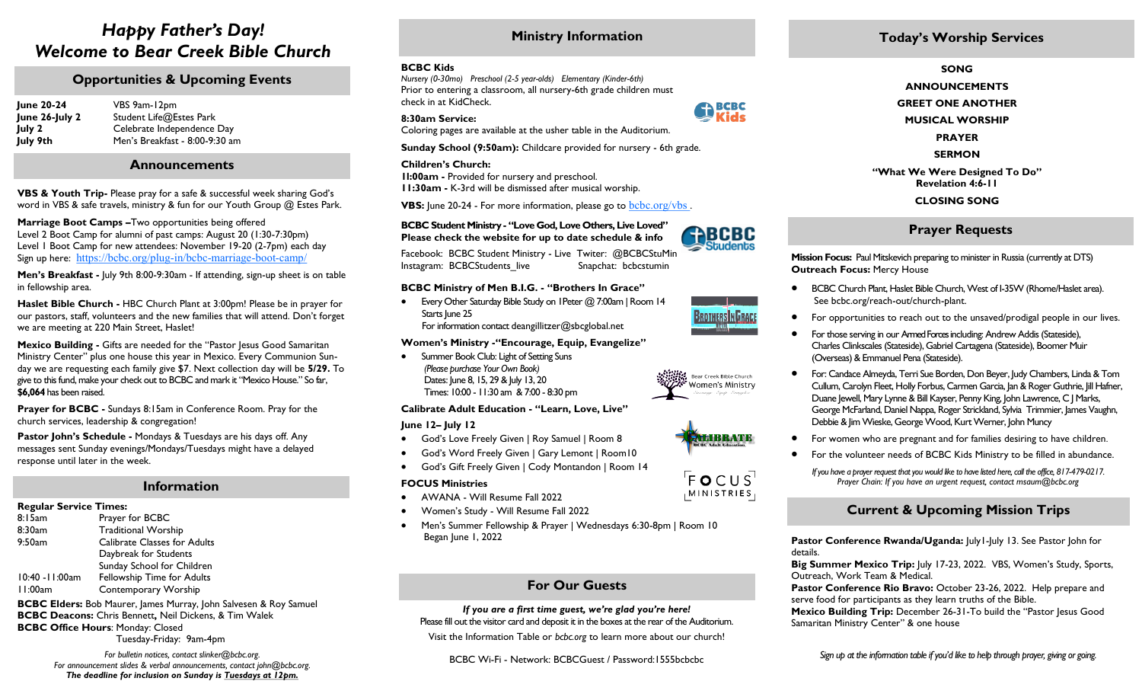## *Happy Father's Day! Welcome to Bear Creek Bible Church*

### **Opportunities & Upcoming Events**

| <b>June 20-24</b> | VBS 9am-12pm<br>Student Life@Estes Park |  |
|-------------------|-----------------------------------------|--|
| June 26-July 2    |                                         |  |
| July 2            | Celebrate Independence Day              |  |
| July 9th          | Men's Breakfast - 8:00-9:30 am          |  |

#### **Announcements**

**VBS & Youth Trip-** Please pray for a safe & successful week sharing God's word in VBS & safe travels, ministry & fun for our Youth Group @ Estes Park.

**Marriage Boot Camps –**Two opportunities being offered Level 2 Boot Camp for alumni of past camps: August 20 (1:30-7:30pm) Level 1 Boot Camp for new attendees: November 19-20 (2-7pm) each day Sign up here:[https://bcbc.org/plug](https://bcbc.org/plug-in/bcbc-marriage-boot-camp/)-in/bcbc-marriage-boot-camp/

**Men's Breakfast -** July 9th 8:00-9:30am - If attending, sign-up sheet is on table in fellowship area.

**Haslet Bible Church -** HBC Church Plant at 3:00pm! Please be in prayer for our pastors, staff, volunteers and the new families that will attend. Don't forget we are meeting at 220 Main Street, Haslet!

**Mexico Building -** Gifts are needed for the "Pastor Jesus Good Samaritan Ministry Center" plus one house this year in Mexico. Every Communion Sunday we are requesting each family give \$7. Next collection day will be **5/29.** To give to this fund, make your check out to BCBC and mark it "Mexico House." So far, **\$6,064** has been raised.

**Prayer for BCBC -** Sundays 8:15am in Conference Room. Pray for the church services, leadership & congregation!

**Pastor John's Schedule -** Mondays & Tuesdays are his days off. Any messages sent Sunday evenings/Mondays/Tuesdays might have a delayed response until later in the week.

#### **Information**

#### **Regular Service Times:**

8:15am Prayer for BCBC 8:30am Traditional Worship 9:50am Calibrate Classes for Adults Daybreak for Students Sunday School for Children 10:40 -11:00am Fellowship Time for Adults 11:00am Contemporary Worship

**BCBC Elders:** Bob Maurer, James Murray, John Salvesen & Roy Samuel **BCBC Deacons:** Chris Bennett**,** Neil Dickens, & Tim Walek **BCBC Office Hours**: Monday: Closed

Tuesday-Friday: 9am-4pm

*For bulletin notices, contact slinker@bcbc.org. For announcement slides & verbal announcements, contact john@bcbc.org. The deadline for inclusion on Sunday is Tuesdays at 12pm.*

## **Ministry Information**

#### **BCBC Kids**

*Nursery (0-30mo) Preschool (2-5 year-olds) Elementary (Kinder-6th)* Prior to entering a classroom, all nursery-6th grade children must check in at KidCheck.

#### **8:30am Service:**

Coloring pages are available at the usher table in the Auditorium.

**Sunday School (9:50am):** Childcare provided for nursery - 6th grade.

#### **Children's Church:**

**1l:00am -** Provided for nursery and preschool. **11:30am -** K-3rd will be dismissed after musical worship.

**VBS:** June 20-24 - For more information, please go to **bcbc.org/vbs**.

#### **BCBC Student Ministry - "Love God, Love Others, Live Loved" Please check the website for up to date schedule & info**

Facebook: BCBC Student Ministry - Live Twiter: @BCBCStuMin Instagram: BCBCStudents live Snapchat: bcbcstumin

#### **BCBC Ministry of Men B.I.G. - "Brothers In Grace"**

 Every Other Saturday Bible Study on 1Peter @ 7:00am | Room 14 Starts June 25 For information contact [deangillitzer@sbcglobal.net](mailto:deangillitzer@sbcglobal.net) 

#### **Women's Ministry -"Encourage, Equip, Evangelize"**

• Summer Book Club: Light of Setting Suns *(Please purchase Your Own Book)* Dates: June 8, 15, 29 & July 13, 20 Times: 10:00 - 11:30 am & 7:00 - 8:30 pm

#### **Calibrate Adult Education - "Learn, Love, Live"**

**June 12– July 12**

- God's Love Freely Given | Roy Samuel | Room 8
- God's Word Freely Given | Gary Lemont | Room10
- God's Gift Freely Given | Cody Montandon | Room 14

#### **FOCUS Ministries**

- AWANA Will Resume Fall 2022
- Women's Study Will Resume Fall 2022
- Men's Summer Fellowship & Prayer | Wednesdays 6:30-8pm | Room 10 Began June 1, 2022

## **For Our Guests**

#### *If you are a first time guest, we're glad you're here!*  Please fill out the visitor card and deposit it in the boxes at the rear of the Auditorium.

Visit the Information Table or *bcbc.org* to learn more about our church!

BCBC Wi-Fi - Network: BCBCGuest / Password:1555bcbcbc

## **Today's Worship Services**

#### **SONG**

**ANNOUNCEMENTS**

**GREET ONE ANOTHER**

**MUSICAL WORSHIP**

**PRAYER**

**SERMON**

**"What We Were Designed To Do" Revelation 4:6-11 CLOSING SONG** 

### **Prayer Requests**

**Mission Focus:** Paul Mitskevich preparing to minister in Russia (currently at DTS) **Outreach Focus:** Mercy House

- BCBC Church Plant, Haslet Bible Church, West of I-35W (Rhome/Haslet area). See bcbc.org/reach-out/church-plant.
- For opportunities to reach out to the unsaved/prodigal people in our lives.
- For those serving in our Armed Forces including: Andrew Addis (Stateside), Charles Clinkscales (Stateside), Gabriel Cartagena (Stateside), Boomer Muir (Overseas) & Emmanuel Pena (Stateside).
- For: Candace Almeyda, Terri Sue Borden, Don Beyer, Judy Chambers, Linda & Tom Cullum, Carolyn Fleet, Holly Forbus, Carmen Garcia, Jan & Roger Guthrie, Jill Hafner, Duane Jewell, Mary Lynne & Bill Kayser, Penny King, John Lawrence, C J Marks, George McFarland, Daniel Nappa, Roger Strickland, Sylvia Trimmier, James Vaughn, Debbie & Jim Wieske, George Wood, Kurt Werner, John Muncy
- For women who are pregnant and for families desiring to have children.
- For the volunteer needs of BCBC Kids Ministry to be filled in abundance.
	- *If you have a prayer request that you would like to have listed here, call the office, 817-479-0217. Prayer Chain: If you have an urgent request, contact msaum@bcbc.org*

## **Current & Upcoming Mission Trips**

**Pastor Conference Rwanda/Uganda:** |uly1-|uly 13. See Pastor John for details.

**Big Summer Mexico Trip:** July 17-23, 2022. VBS, Women's Study, Sports, Outreach, Work Team & Medical.

**Pastor Conference Rio Bravo:** October 23-26, 2022. Help prepare and serve food for participants as they learn truths of the Bible.

**Mexico Building Trip:** December 26-31-To build the "Pastor Jesus Good Samaritan Ministry Center" & one house



**RABCBC** 

**General**<br>Rids





MINISTRIES,

Bear Creek Bible Church Women's Ministry